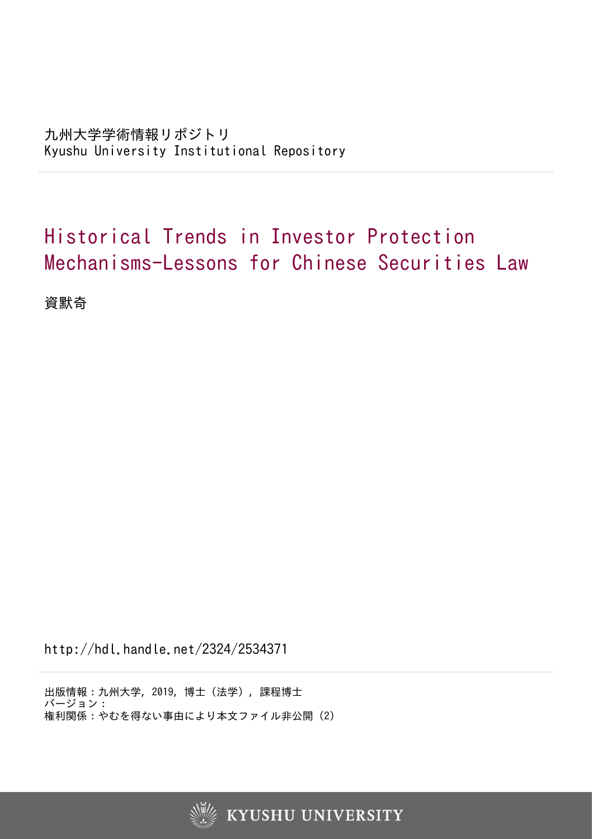## Historical Trends in Investor Protection Mechanisms-Lessons for Chinese Securities Law

資默奇

http://hdl.handle.net/2324/2534371

出版情報:九州大学, 2019, 博士(法学), 課程博士 バージョン: 権利関係:やむを得ない事由により本文ファイル非公開 (2)



**KYUSHU UNIVERSITY**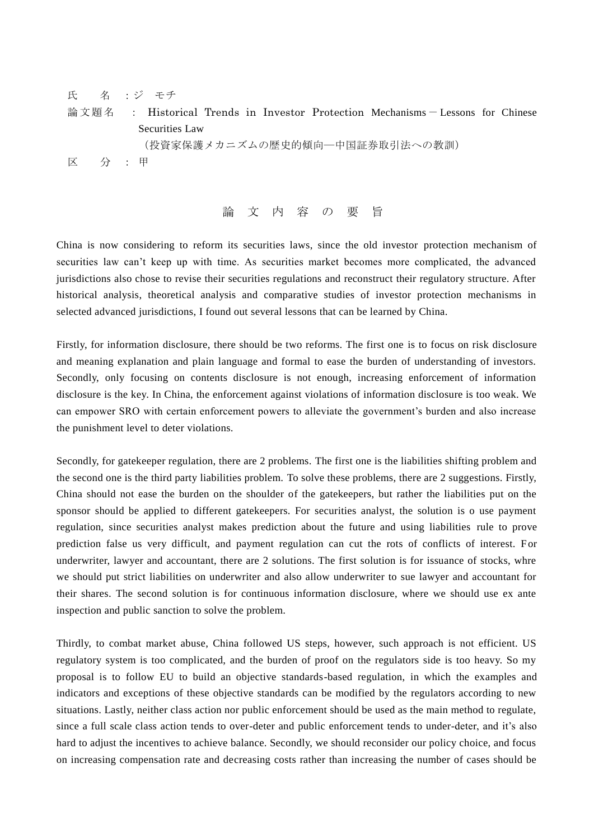氏 名 :ジ モチ 論文題 名 : Historical Trends in Investor Protection Mechanisms- Lessons for Chinese Securities Law (投資家保護メカニズムの歴史的傾向―中国証券取引法への教訓) 区 分 : 甲

論 文 内 容 の 要 旨

China is now considering to reform its securities laws, since the old investor protection mechanism of securities law can't keep up with time. As securities market becomes more complicated, the advanced jurisdictions also chose to revise their securities regulations and reconstruct their regulatory structure. After historical analysis, theoretical analysis and comparative studies of investor protection mechanisms in selected advanced jurisdictions, I found out several lessons that can be learned by China.

Firstly, for information disclosure, there should be two reforms. The first one is to focus on risk disclosure and meaning explanation and plain language and formal to ease the burden of understanding of investors. Secondly, only focusing on contents disclosure is not enough, increasing enforcement of information disclosure is the key. In China, the enforcement against violations of information disclosure is too weak. We can empower SRO with certain enforcement powers to alleviate the government's burden and also increase the punishment level to deter violations.

Secondly, for gatekeeper regulation, there are 2 problems. The first one is the liabilities shifting problem and the second one is the third party liabilities problem. To solve these problems, there are 2 suggestions. Firstly, China should not ease the burden on the shoulder of the gatekeepers, but rather the liabilities put on the sponsor should be applied to different gatekeepers. For securities analyst, the solution is o use payment regulation, since securities analyst makes prediction about the future and using liabilities rule to prove prediction false us very difficult, and payment regulation can cut the rots of conflicts of interest. For underwriter, lawyer and accountant, there are 2 solutions. The first solution is for issuance of stocks, whre we should put strict liabilities on underwriter and also allow underwriter to sue lawyer and accountant for their shares. The second solution is for continuous information disclosure, where we should use ex ante inspection and public sanction to solve the problem.

Thirdly, to combat market abuse, China followed US steps, however, such approach is not efficient. US regulatory system is too complicated, and the burden of proof on the regulators side is too heavy. So my proposal is to follow EU to build an objective standards-based regulation, in which the examples and indicators and exceptions of these objective standards can be modified by the regulators according to new situations. Lastly, neither class action nor public enforcement should be used as the main method to regulate, since a full scale class action tends to over-deter and public enforcement tends to under-deter, and it's also hard to adjust the incentives to achieve balance. Secondly, we should reconsider our policy choice, and focus on increasing compensation rate and decreasing costs rather than increasing the number of cases should be